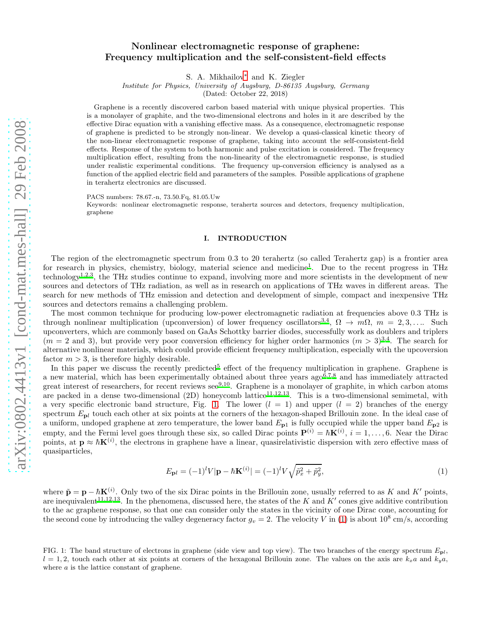# Nonlinear electromagnetic response of graphene: Frequency multiplication and the self-consistent-field effects

S. A. Mikhailov[∗](#page-10-0) and K. Ziegler

Institute for Physics, University of Augsburg, D-86135 Augsburg, Germany

(Dated: October 22, 2018)

Graphene is a recently discovered carbon based material with unique physical properties. This is a monolayer of graphite, and the two-dimensional electrons and holes in it are described by the effective Dirac equation with a vanishing effective mass. As a consequence, electromagnetic response of graphene is predicted to be strongly non-linear. We develop a quasi-classical kinetic theory of the non-linear electromagnetic response of graphene, taking into account the self-consistent-field effects. Response of the system to both harmonic and pulse excitation is considered. The frequency multiplication effect, resulting from the non-linearity of the electromagnetic response, is studied under realistic experimental conditions. The frequency up-conversion efficiency is analysed as a function of the applied electric field and parameters of the samples. Possible applications of graphene in terahertz electronics are discussed.

PACS numbers: 78.67.-n, 73.50.Fq, 81.05.Uw

Keywords: nonlinear electromagnetic response, terahertz sources and detectors, frequency multiplication, graphene

### I. INTRODUCTION

The region of the electromagnetic spectrum from 0.3 to 20 terahertz (so called Terahertz gap) is a frontier area for r[e](#page-10-1)search in physics, chemistry, biology, material science and medicine<sup>1</sup>. Due to the recent progress in THz technology[1](#page-10-1)[,2](#page-10-2)[,3](#page-10-3), the THz studies continue to expand, involving more and more scientists in the development of new sources and detectors of THz radiation, as well as in research on applications of THz waves in different areas. The search for new methods of THz emission and detection and development of simple, compact and inexpensive THz sources and detectors remains a challenging problem.

The most common technique for producing low-power electromagnetic radiation at frequencies above 0.3 THz is through nonlinear multiplication (upconversion) of lower frequency oscillators<sup>[3](#page-10-3)[,4](#page-10-4)</sup>,  $\Omega \to m\Omega$ ,  $m = 2, 3, \ldots$ . Such upconverters, which are commonly based on GaAs Schottky barrier diodes, successfully work as doublers and triplers  $(m = 2 \text{ and } 3)$  $(m = 2 \text{ and } 3)$  $(m = 2 \text{ and } 3)$ , but provide very poor conversion efficiency for higher order harmonics  $(m > 3)^{3,4}$  $(m > 3)^{3,4}$  $(m > 3)^{3,4}$ . The search for alternative nonlinear materials, which could provide efficient frequency multiplication, especially with the upcoversion factor  $m > 3$ , is therefore highly desirable.

In this paper we discuss the recently predicted<sup>[5](#page-10-5)</sup> effect of the frequency multiplication in graphene. Graphene is a new material, which has been experimentally obtained about three years  $ago^{6,7,8}$  $ago^{6,7,8}$  $ago^{6,7,8}$  $ago^{6,7,8}$  $ago^{6,7,8}$  and has immediately attracted gr[e](#page-10-9)at interest of researchers, for recent reviews see<sup>9[,10](#page-10-10)</sup>. Graphene is a monolayer of graphite, in which carbon atoms are packed in a dense two-dimensional (2D) honeycomb lattice<sup>[11](#page-10-11)[,12](#page-10-12)[,13](#page-10-13)</sup>. This is a two-dimensional semimetal, with a very specific electronic band structure, Fig. [1.](#page-0-0) The lower  $(l = 1)$  and upper  $(l = 2)$  branches of the energy spectrum  $E_{\text{pl}}$  touch each other at six points at the corners of the hexagon-shaped Brillouin zone. In the ideal case of a uniform, undoped graphene at zero temperature, the lower band  $E_{p1}$  is fully occupied while the upper band  $E_{p2}$  is empty, and the Fermi level goes through these six, so called Dirac points  $\mathbf{P}^{(i)} = \hbar \mathbf{K}^{(i)}$ ,  $i = 1, \ldots, 6$ . Near the Dirac points, at  $p \approx \hbar K^{(i)}$ , the electrons in graphene have a linear, quasirelativistic dispersion with zero effective mass of quasiparticles,

<span id="page-0-1"></span>
$$
E_{\mathbf{p}l} = (-1)^l V|\mathbf{p} - \hbar \mathbf{K}^{(i)}| = (-1)^l V \sqrt{\tilde{p}_x^2 + \tilde{p}_y^2},\tag{1}
$$

where  $\tilde{\mathbf{p}} = \mathbf{p} - \hbar \mathbf{K}^{(i)}$ . Only two of the six Dirac points in the Brillouin zone, usually referred to as K and K' points, are inequivalent<sup>[11](#page-10-11)[,12](#page-10-12)[,13](#page-10-13)</sup>. In the phenomena, discussed here, the states of the K and  $K'$  cones give additive contribution to the ac graphene response, so that one can consider only the states in the vicinity of one Dirac cone, accounting for the second cone by introducing the valley degeneracy factor  $g_v = 2$ . The velocity V in [\(1\)](#page-0-1) is about  $10^8$  cm/s, according

<span id="page-0-0"></span>FIG. 1: The band structure of electrons in graphene (side view and top view). The two branches of the energy spectrum  $E_{\text{pl}}$ ,  $l = 1, 2$ , touch each other at six points at corners of the hexagonal Brillouin zone. The values on the axis are  $k_x a$  and  $k_y a$ , where a is the lattice constant of graphene.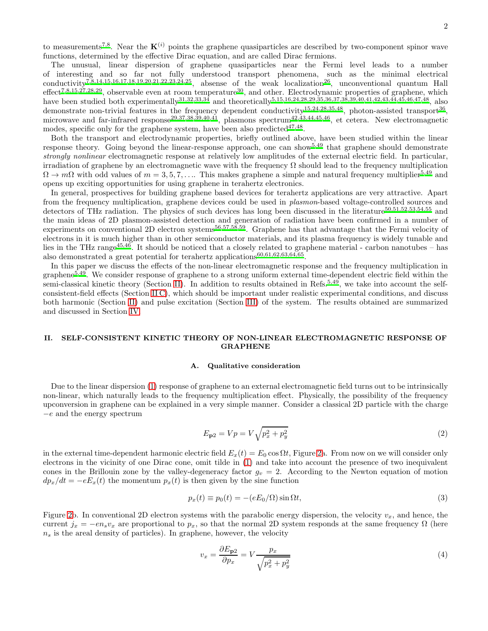2

to measurements<sup>[7](#page-10-7)[,8](#page-10-8)</sup>. Near the  $K^{(i)}$  points the graphene quasiparticles are described by two-component spinor wave functions, determined by the effective Dirac equation, and are called Dirac fermions.

The unusual, linear dispersion of graphene quasiparticles near the Fermi level leads to a number of interesting and so far not fully understood transport phenomena, such as the minimal electrical conductivity<sup>[7](#page-10-7)[,8](#page-10-8)[,14](#page-10-14)[,15](#page-10-15)[,16](#page-11-0)[,17](#page-11-1)[,18](#page-11-2)[,19](#page-11-3)[,20](#page-11-4)[,21](#page-11-5)[,22](#page-11-6)[,23](#page-11-7)[,24](#page-11-8)[,25](#page-11-9)</sup>, absense of the weak localization<sup>[26](#page-11-10)</sup>, unconventional quantum Hall  $\text{effect}^{7,8,15,27,28,29}$  $\text{effect}^{7,8,15,27,28,29}$  $\text{effect}^{7,8,15,27,28,29}$  $\text{effect}^{7,8,15,27,28,29}$  $\text{effect}^{7,8,15,27,28,29}$  $\text{effect}^{7,8,15,27,28,29}$  $\text{effect}^{7,8,15,27,28,29}$  $\text{effect}^{7,8,15,27,28,29}$ , observable even at room temperature<sup>[30](#page-11-14)</sup>, and other. Electrodynamic properties of graphene, which have been studied both experimentally<sup>[31](#page-11-15)[,32](#page-11-16)[,33](#page-11-17)[,34](#page-11-18)</sup> and theoretically<sup>[5](#page-10-5)[,15](#page-10-15)[,16](#page-11-0)[,24](#page-11-8)[,28](#page-11-12)[,29](#page-11-13)[,35](#page-11-19)[,36](#page-11-20)[,37](#page-11-21)[,38](#page-11-22)[,39](#page-11-23)[,40](#page-11-24)[,41](#page-11-25)[,42](#page-11-26)[,43](#page-11-27)[,44](#page-11-28)[,45](#page-11-29)[,46](#page-11-30)[,47](#page-11-31)[,48](#page-11-32), also</sup> demonstrate non-trivial features in the frequency dependent conductivity<sup>[15](#page-10-15)[,24](#page-11-8)[,28](#page-11-12)[,35](#page-11-19)[,48](#page-11-32)</sup>, photon-assisted transport<sup>[36](#page-11-20)</sup>, microwave and far-infrared response<sup>[29](#page-11-13)[,37](#page-11-21)[,38](#page-11-22)[,39](#page-11-23)[,40](#page-11-24)[,41](#page-11-25)</sup>, plasmons spectrum<sup>[42](#page-11-26)[,43](#page-11-27)[,44](#page-11-28)[,45](#page-11-29)[,46](#page-11-30)</sup>, et cetera. New electromagnetic modes, specific only for the graphene system, have been also predicted $47,48$  $47,48$ .

Both the transport and electrodynamic properties, briefly outlined above, have been studied within the linear response theory. Going beyond the linear-response approach, one can show[5](#page-10-5)[,49](#page-11-33) that graphene should demonstrate strongly nonlinear electromagnetic response at relatively low amplitudes of the external electric field. In particular, irradiation of graphene by an electromagnetic wave with the frequency  $\Omega$  should lead to the frequency multiplication  $\Omega \to m\Omega$  with odd values of  $m = 3, 5, 7, \ldots$  $m = 3, 5, 7, \ldots$  $m = 3, 5, 7, \ldots$ . This makes graphene a simple and natural frequency multiplier<sup>5[,49](#page-11-33)</sup> and opens up exciting opportunities for using graphene in terahertz electronics.

In general, prospectives for building graphene based devices for terahertz applications are very attractive. Apart from the frequency multiplication, graphene devices could be used in plasmon-based voltage-controlled sources and detectors of THz radiation. The physics of such devices has long been discussed in the literature[50](#page-11-34)[,51](#page-11-35)[,52](#page-11-36)[,53](#page-11-37)[,54](#page-12-0)[,55](#page-12-1) and the main ideas of 2D plasmon-assisted detection and generation of radiation have been confirmed in a number of experiments on conventional 2D electron systems<sup>[56](#page-12-2)[,57](#page-12-3)[,58](#page-12-4)[,59](#page-12-5)</sup>. Graphene has that advantage that the Fermi velocity of electrons in it is much higher than in other semiconductor materials, and its plasma frequency is widely tunable and lies in the THz range<sup>[45](#page-11-29)[,46](#page-11-30)</sup>. It should be noticed that a closely related to graphene material - carbon nanotubes – has also demonstrated a great potential for terahertz applications<sup>[60](#page-12-6)[,61](#page-12-7)[,62](#page-12-8)[,63](#page-12-9)[,64](#page-12-10)[,65](#page-12-11)</sup>.

In this paper we discuss the effects of the non-linear electromagnetic response and the frequency multiplication in  $graphene^{5,49}$  $graphene^{5,49}$  $graphene^{5,49}$  $graphene^{5,49}$ . We consider response of graphene to a strong uniform external time-dependent electric field within the semi-classical kinetic theory (Section [II\)](#page-1-0). In addition to results obtained in Refs.<sup>[5](#page-10-5)[,49](#page-11-33)</sup>, we take into account the selfconsistent-field effects (Section [II C\)](#page-5-0), which should be important under realistic experimental conditions, and discuss both harmonic (Section [II\)](#page-1-0) and pulse excitation (Section [III\)](#page-8-0) of the system. The results obtained are summarized and discussed in Section [IV.](#page-9-0)

# <span id="page-1-0"></span>II. SELF-CONSISTENT KINETIC THEORY OF NON-LINEAR ELECTROMAGNETIC RESPONSE OF GRAPHENE

#### A. Qualitative consideration

Due to the linear dispersion [\(1\)](#page-0-1) response of graphene to an external electromagnetic field turns out to be intrinsically non-linear, which naturally leads to the frequency multiplication effect. Physically, the possibility of the frequency upconversion in graphene can be explained in a very simple manner. Consider a classical 2D particle with the charge  $-e$  and the energy spectrum

<span id="page-1-1"></span>
$$
E_{\mathbf{p}2} = Vp = V\sqrt{p_x^2 + p_y^2} \tag{2}
$$

in the external time-dependent harmonic electric field  $E_x(t) = E_0 \cos \Omega t$ , Figure [2a](#page-2-0). From now on we will consider only electrons in the vicinity of one Dirac cone, omit tilde in [\(1\)](#page-0-1) and take into account the presence of two inequivalent cones in the Brillouin zone by the valley-degeneracy factor  $g_v = 2$ . According to the Newton equation of motion  $dp_x/dt = -eE_x(t)$  the momentum  $p_x(t)$  is then given by the sine function

$$
p_x(t) \equiv p_0(t) = -(eE_0/\Omega)\sin\Omega t,\tag{3}
$$

Figure [2b](#page-2-0). In conventional 2D electron systems with the parabolic energy dispersion, the velocity  $v_x$ , and hence, the current  $j_x = -e s v_x$  are proportional to  $p_x$ , so that the normal 2D system responds at the same frequency  $\Omega$  (here  $n<sub>s</sub>$  is the areal density of particles). In graphene, however, the velocity

<span id="page-1-2"></span>
$$
v_x = \frac{\partial E_{\mathbf{p}2}}{\partial p_x} = V \frac{p_x}{\sqrt{p_x^2 + p_y^2}}\tag{4}
$$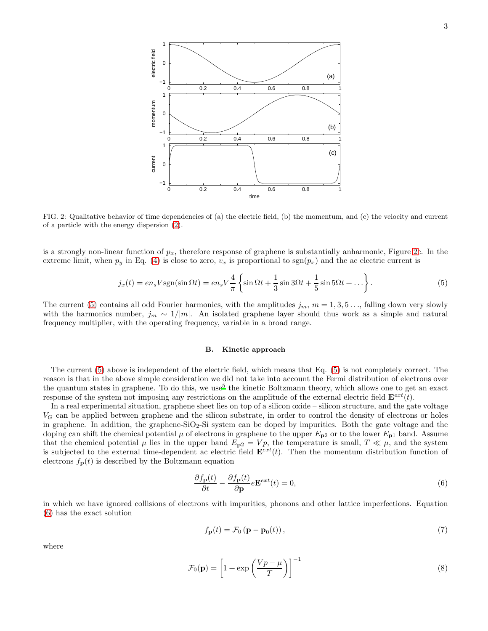

<span id="page-2-0"></span>FIG. 2: Qualitative behavior of time dependencies of (a) the electric field, (b) the momentum, and (c) the velocity and current of a particle with the energy dispersion [\(2\)](#page-1-1).

is a strongly non-linear function of  $p_x$ , therefore response of graphene is substantially anharmonic, Figure [2c](#page-2-0). In the extreme limit, when  $p_y$  in Eq. [\(4\)](#page-1-2) is close to zero,  $v_x$  is proportional to  $sgn(p_x)$  and the ac electric current is

<span id="page-2-1"></span>
$$
j_x(t) = en_s V \operatorname{sgn}(\sin \Omega t) = en_s V \frac{4}{\pi} \left\{ \sin \Omega t + \frac{1}{3} \sin 3\Omega t + \frac{1}{5} \sin 5\Omega t + \dots \right\}.
$$
 (5)

The current [\(5\)](#page-2-1) contains all odd Fourier harmonics, with the amplitudes  $j_m$ ,  $m = 1, 3, 5, \ldots$ , falling down very slowly with the harmonics number,  $j_m \sim 1/|m|$ . An isolated graphene layer should thus work as a simple and natural frequency multiplier, with the operating frequency, variable in a broad range.

## <span id="page-2-3"></span>B. Kinetic approach

The current [\(5\)](#page-2-1) above is independent of the electric field, which means that Eq. [\(5\)](#page-2-1) is not completely correct. The reason is that in the above simple consideration we did not take into account the Fermi distribution of electrons over the quantum states in graphene. To do this, we use<sup>[5](#page-10-5)</sup> the kinetic Boltzmann theory, which allows one to get an exact response of the system not imposing any restrictions on the amplitude of the external electric field  $\mathbf{E}^{ext}(t)$ .

In a real experimental situation, graphene sheet lies on top of a silicon oxide – silicon structure, and the gate voltage  $V_G$  can be applied between graphene and the silicon substrate, in order to control the density of electrons or holes in graphene. In addition, the graphene-SiO<sub>2</sub>-Si system can be doped by impurities. Both the gate voltage and the doping can shift the chemical potential  $\mu$  of electrons in graphene to the upper  $E_{p2}$  or to the lower  $E_{p1}$  band. Assume that the chemical potential  $\mu$  lies in the upper band  $E_{p2} = Vp$ , the temperature is small,  $T \ll \mu$ , and the system is subjected to the external time-dependent ac electric field  $\mathbf{E}^{ext}(t)$ . Then the momentum distribution function of electrons  $f_{\mathbf{p}}(t)$  is described by the Boltzmann equation

<span id="page-2-2"></span>
$$
\frac{\partial f_{\mathbf{p}}(t)}{\partial t} - \frac{\partial f_{\mathbf{p}}(t)}{\partial \mathbf{p}} e^{\mathbf{E}^{ext}}(t) = 0,
$$
\n(6)

in which we have ignored collisions of electrons with impurities, phonons and other lattice imperfections. Equation [\(6\)](#page-2-2) has the exact solution

<span id="page-2-4"></span>
$$
f_{\mathbf{p}}(t) = \mathcal{F}_0\left(\mathbf{p} - \mathbf{p}_0(t)\right),\tag{7}
$$

where

$$
\mathcal{F}_0(\mathbf{p}) = \left[1 + \exp\left(\frac{Vp - \mu}{T}\right)\right]^{-1} \tag{8}
$$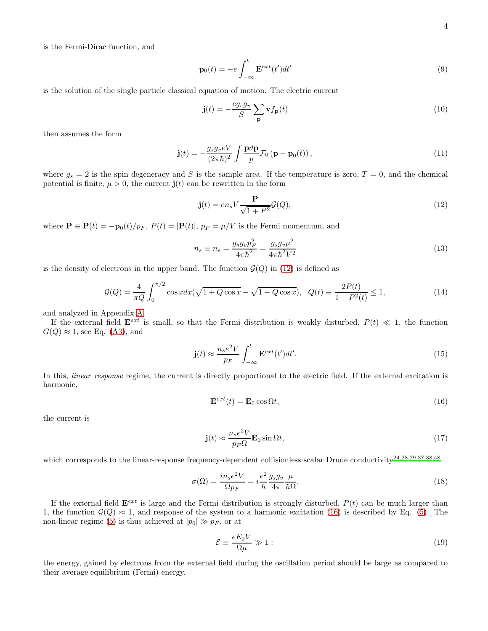is the Fermi-Dirac function, and

$$
\mathbf{p}_0(t) = -e \int_{-\infty}^t \mathbf{E}^{ext}(t')dt' \tag{9}
$$

is the solution of the single particle classical equation of motion. The electric current

$$
\mathbf{j}(t) = -\frac{eg_s g_v}{S} \sum_{\mathbf{p}} \mathbf{v} f_{\mathbf{p}}(t) \tag{10}
$$

then assumes the form

<span id="page-3-3"></span>
$$
\mathbf{j}(t) = -\frac{g_s g_v eV}{(2\pi\hbar)^2} \int \frac{\mathbf{p}d\mathbf{p}}{p} \mathcal{F}_0 \left( \mathbf{p} - \mathbf{p}_0(t) \right),\tag{11}
$$

where  $g_s = 2$  is the spin degeneracy and S is the sample area. If the temperature is zero,  $T = 0$ , and the chemical potential is finite,  $\mu > 0$ , the current  $\mathbf{j}(t)$  can be rewritten in the form

<span id="page-3-0"></span>
$$
\mathbf{j}(t) = en_s V \frac{\mathbf{P}}{\sqrt{1+P^2}} \mathcal{G}(Q),\tag{12}
$$

where  $\mathbf{P} \equiv \mathbf{P}(t) = -\mathbf{p}_0(t)/p_F$ ,  $P(t) = |\mathbf{P}(t)|$ ,  $p_F = \mu/V$  is the Fermi momentum, and

$$
n_s \equiv n_e = \frac{g_s g_v p_F^2}{4\pi\hbar^2} = \frac{g_s g_v \mu^2}{4\pi\hbar^2 V^2}
$$
\n(13)

is the density of electrons in the upper band. The function  $\mathcal{G}(Q)$  in [\(12\)](#page-3-0) is defined as

$$
\mathcal{G}(Q) = \frac{4}{\pi Q} \int_0^{\pi/2} \cos x dx (\sqrt{1 + Q \cos x} - \sqrt{1 - Q \cos x}), \ \ Q(t) \equiv \frac{2P(t)}{1 + P^2(t)} \le 1,
$$
\n(14)

and analyzed in Appendix [A.](#page-10-16)

If the external field  $\mathbf{E}^{ext}$  is small, so that the Fermi distribution is weakly disturbed,  $P(t) \ll 1$ , the function  $G(Q) \approx 1$ , see Eq. [\(A3\)](#page-10-17), and

$$
\mathbf{j}(t) \approx \frac{n_s e^2 V}{p_F} \int_{-\infty}^t \mathbf{E}^{ext}(t') dt'. \tag{15}
$$

In this, *linear response* regime, the current is directly proportional to the electric field. If the external excitation is harmonic,

<span id="page-3-1"></span>
$$
\mathbf{E}^{ext}(t) = \mathbf{E}_0 \cos \Omega t,\tag{16}
$$

the current is

$$
\mathbf{j}(t) \approx \frac{n_s e^2 V}{p_F \Omega} \mathbf{E}_0 \sin \Omega t,\tag{17}
$$

which corresponds to the linear-response frequency-dependent collisionless scalar Drude conductivity<sup>[24](#page-11-8)[,28](#page-11-12)[,29](#page-11-13)[,37](#page-11-21)[,38](#page-11-22)[,48](#page-11-32)</sup>

$$
\sigma(\Omega) = \frac{in_s e^2 V}{\Omega p_F} = i \frac{e^2}{\hbar} \frac{g_s g_v}{4\pi} \frac{\mu}{\hbar \Omega}.
$$
\n(18)

If the external field  $\mathbf{E}^{ext}$  is large and the Fermi distribution is strongly disturbed,  $P(t)$  can be much larger than 1, the function  $\mathcal{G}(Q) \approx 1$ , and response of the system to a harmonic excitation [\(16\)](#page-3-1) is described by Eq. [\(5\)](#page-2-1). The non-linear regime [\(5\)](#page-2-1) is thus achieved at  $|p_0| \gg p_F$ , or at

<span id="page-3-2"></span>
$$
\mathcal{E} \equiv \frac{eE_0 V}{\Omega \mu} \gg 1: \tag{19}
$$

the energy, gained by electrons from the external field during the oscillation period should be large as compared to their average equilibrium (Fermi) energy.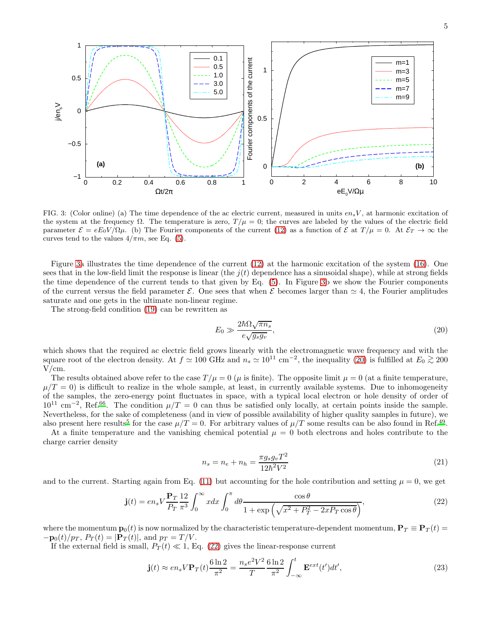

<span id="page-4-0"></span>FIG. 3: (Color online) (a) The time dependence of the ac electric current, measured in units  $en_sV$ , at harmonic excitation of the system at the frequency  $\Omega$ . The temperature is zero,  $T/\mu = 0$ ; the curves are labeled by the values of the electric field parameter  $\mathcal{E} = eE_0V/\Omega\mu$ . (b) The Fourier components of the current [\(12\)](#page-3-0) as a function of  $\mathcal{E}$  at  $T/\mu = 0$ . At  $\mathcal{E}_T \to \infty$  the curves tend to the values  $4/\pi m$ , see Eq. [\(5\)](#page-2-1).

Figure [3a](#page-4-0) illustrates the time dependence of the current [\(12\)](#page-3-0) at the harmonic excitation of the system [\(16\)](#page-3-1). One sees that in the low-field limit the response is linear (the  $i(t)$  dependence has a sinusoidal shape), while at strong fields the time dependence of the current tends to that given by Eq. [\(5\)](#page-2-1). In Figure [3b](#page-4-0) we show the Fourier components of the current versus the field parameter  $\mathcal{E}$ . One sees that when  $\mathcal{E}$  becomes larger than  $\simeq 4$ , the Fourier amplitudes saturate and one gets in the ultimate non-linear regime.

The strong-field condition [\(19\)](#page-3-2) can be rewritten as

<span id="page-4-1"></span>
$$
E_0 \gg \frac{2\hbar\Omega\sqrt{\pi n_s}}{e\sqrt{g_sg_v}},\tag{20}
$$

which shows that the required ac electric field grows linearly with the electromagnetic wave frequency and with the square root of the electron density. At  $f \approx 100$  GHz and  $n_s \approx 10^{11}$  cm<sup>-2</sup>, the inequality [\(20\)](#page-4-1) is fulfilled at  $E_0 \gtrsim 200$ V/cm.

The results obtained above refer to the case  $T/\mu = 0$  ( $\mu$  is finite). The opposite limit  $\mu = 0$  (at a finite temperature,  $\mu/T = 0$ ) is difficult to realize in the whole sample, at least, in currently available systems. Due to inhomogeneity of the samples, the zero-energy point fluctuates in space, with a typical local electron or hole density of order of  $10^{11}$  cm<sup>-2</sup>, Ref.<sup>[66](#page-12-12)</sup>. The condition  $\mu/T = 0$  can thus be satisfied only locally, at certain points inside the sample. Nevertheless, for the sake of completeness (and in view of possible availability of higher quality samples in future), we also present here results<sup>[5](#page-10-5)</sup> for the case  $\mu/T = 0$ . For arbitrary values of  $\mu/T$  some results can be also found in Ref.<sup>[49](#page-11-33)</sup>.

At a finite temperature and the vanishing chemical potential  $\mu = 0$  both electrons and holes contribute to the charge carrier density

$$
n_s = n_e + n_h = \frac{\pi g_s g_v T^2}{12\hbar^2 V^2}
$$
\n(21)

and to the current. Starting again from Eq. [\(11\)](#page-3-3) but accounting for the hole contribution and setting  $\mu = 0$ , we get

<span id="page-4-2"></span>
$$
\mathbf{j}(t) = en_s V \frac{\mathbf{P}_T}{P_T} \frac{12}{\pi^3} \int_0^\infty x dx \int_0^\pi d\theta \frac{\cos \theta}{1 + \exp\left(\sqrt{x^2 + P_T^2 - 2x P_T \cos \theta}\right)},\tag{22}
$$

where the momentum  $\mathbf{p}_0(t)$  is now normalized by the characteristic temperature-dependent momentum,  $\mathbf{P}_T \equiv \mathbf{P}_T(t)$  $-\mathbf{p}_0(t)/p_T$ ,  $P_T(t) = |\mathbf{P}_T(t)|$ , and  $p_T = T/V$ .

If the external field is small,  $P_T(t) \ll 1$ , Eq. [\(22\)](#page-4-2) gives the linear-response current

$$
\mathbf{j}(t) \approx en_s V \mathbf{P}_T(t) \frac{6 \ln 2}{\pi^2} = \frac{n_s e^2 V^2}{T} \frac{6 \ln 2}{\pi^2} \int_{-\infty}^t \mathbf{E}^{ext}(t') dt',\tag{23}
$$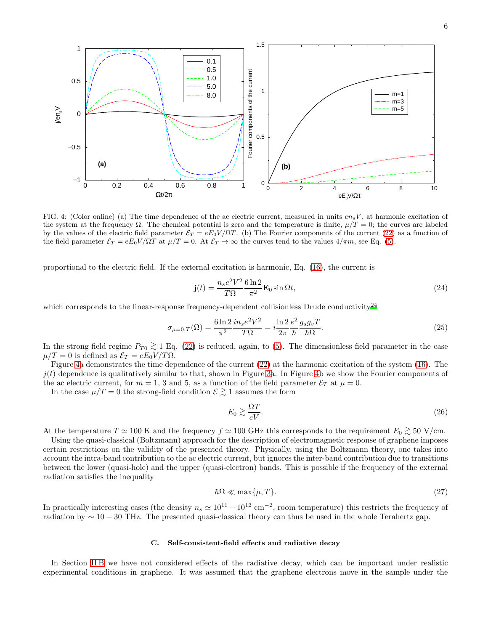

<span id="page-5-1"></span>FIG. 4: (Color online) (a) The time dependence of the ac electric current, measured in units  $en_sV$ , at harmonic excitation of the system at the frequency  $\Omega$ . The chemical potential is zero and the temperature is finite,  $\mu/T = 0$ ; the curves are labeled by the values of the electric field parameter  $\mathcal{E}_T = eE_0V/\Omega T$ . (b) The Fourier components of the current [\(22\)](#page-4-2) as a function of the field parameter  $\mathcal{E}_T = eE_0V/\Omega T$  at  $\mu/T = 0$ . At  $\mathcal{E}_T \to \infty$  the curves tend to the values  $4/\pi m$ , see Eq. [\(5\)](#page-2-1).

proportional to the electric field. If the external excitation is harmonic, Eq. [\(16\)](#page-3-1), the current is

$$
\mathbf{j}(t) = \frac{n_s e^2 V^2}{T\Omega} \frac{6 \ln 2}{\pi^2} \mathbf{E}_0 \sin \Omega t,\tag{24}
$$

which corresponds to the linear-response frequency-dependent collisionless Drude conductivity<sup>[24](#page-11-8)</sup>

$$
\sigma_{\mu=0,T}(\Omega) = \frac{6 \ln 2}{\pi^2} \frac{in_s e^2 V^2}{T \Omega} = i \frac{\ln 2}{2\pi} \frac{e^2}{\hbar} \frac{g_s g_v T}{\hbar \Omega}.
$$
\n(25)

In the strong field regime  $P_{T0} \gtrsim 1$  Eq. [\(22\)](#page-4-2) is reduced, again, to [\(5\)](#page-2-1). The dimensionless field parameter in the case<br> $\mu/T = 0$  is defined as  $S_T = eE \cdot V/TQ$  $\mu/T = 0$  is defined as  $\mathcal{E}_T = eE_0V/T\Omega$ .

Figure [4a](#page-5-1) demonstrates the time dependence of the current [\(22\)](#page-4-2) at the harmonic excitation of the system [\(16\)](#page-3-1). The  $j(t)$  dependence is qualitatively similar to that, shown in Figure [3a](#page-4-0). In Figure [4b](#page-5-1) we show the Fourier components of the ac electric current, for  $m = 1, 3$  and 5, as a function of the field parameter  $\mathcal{E}_T$  at  $\mu = 0$ .

In the case  $\mu/T = 0$  the strong-field condition  $\mathcal{E} \gtrsim 1$  assumes the form

$$
E_0 \gtrsim \frac{\Omega T}{eV}.\tag{26}
$$

At the temperature  $T \simeq 100$  K and the frequency  $f \simeq 100$  GHz this corresponds to the requirement  $E_0 \gtrsim 50$  V/cm.

Using the quasi-classical (Boltzmann) approach for the description of electromagnetic response of graphene imposes certain restrictions on the validity of the presented theory. Physically, using the Boltzmann theory, one takes into account the intra-band contribution to the ac electric current, but ignores the inter-band contribution due to transitions between the lower (quasi-hole) and the upper (quasi-electron) bands. This is possible if the frequency of the external radiation satisfies the inequality

$$
\hbar\Omega \ll \max\{\mu, T\}.\tag{27}
$$

In practically interesting cases (the density  $n_s \simeq 10^{11} - 10^{12}$  cm<sup>-2</sup>, room temperature) this restricts the frequency of radiation by ∼ 10 − 30 THz. The presented quasi-classical theory can thus be used in the whole Terahertz gap.

# <span id="page-5-0"></span>C. Self-consistent-field effects and radiative decay

In Section IIB we have not considered effects of the radiative decay, which can be important under realistic experimental conditions in graphene. It was assumed that the graphene electrons move in the sample under the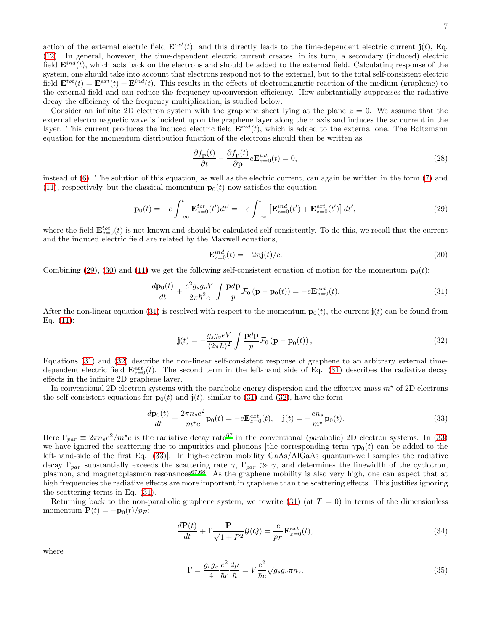action of the external electric field  $\mathbf{E}^{ext}(t)$ , and this directly leads to the time-dependent electric current  $\mathbf{j}(t)$ , Eq. [\(12\)](#page-3-0). In general, however, the time-dependent electric current creates, in its turn, a secondary (induced) electric field  $\mathbf{E}^{ind}(t)$ , which acts back on the electrons and should be added to the external field. Calculating response of the system, one should take into account that electrons respond not to the external, but to the total self-consistent electric field  $\mathbf{E}^{tot}(t) = \mathbf{E}^{ext}(t) + \mathbf{E}^{ind}(t)$ . This results in the effects of electromagnetic reaction of the medium (graphene) to the external field and can reduce the frequency upconversion efficiency. How substantially suppresses the radiative decay the efficiency of the frequency multiplication, is studied below.

Consider an infinite 2D electron system with the graphene sheet lying at the plane  $z = 0$ . We assume that the external electromagnetic wave is incident upon the graphene layer along the z axis and induces the ac current in the layer. This current produces the induced electric field  $\mathbf{E}^{ind}(t)$ , which is added to the external one. The Boltzmann equation for the momentum distribution function of the electrons should then be written as

$$
\frac{\partial f_{\mathbf{p}}(t)}{\partial t} - \frac{\partial f_{\mathbf{p}}(t)}{\partial \mathbf{p}} e \mathbf{E}_{z=0}^{tot}(t) = 0, \qquad (28)
$$

instead of [\(6\)](#page-2-2). The solution of this equation, as well as the electric current, can again be written in the form [\(7\)](#page-2-4) and [\(11\)](#page-3-3), respectively, but the classical momentum  $\mathbf{p}_0(t)$  now satisfies the equation

<span id="page-6-0"></span>
$$
\mathbf{p}_0(t) = -e \int_{-\infty}^t \mathbf{E}_{z=0}^{tot}(t')dt' = -e \int_{-\infty}^t \left[ \mathbf{E}_{z=0}^{ind}(t') + \mathbf{E}_{z=0}^{ext}(t') \right] dt', \tag{29}
$$

where the field  $\mathbf{E}_{z=0}^{tot}(t)$  is not known and should be calculated self-consistently. To do this, we recall that the current and the induced electric field are related by the Maxwell equations,

<span id="page-6-1"></span>
$$
\mathbf{E}_{z=0}^{ind}(t) = -2\pi \mathbf{j}(t)/c.
$$
 (30)

Combining [\(29\)](#page-6-0), [\(30\)](#page-6-1) and [\(11\)](#page-3-3) we get the following self-consistent equation of motion for the momentum  $\mathbf{p}_0(t)$ :

<span id="page-6-2"></span>
$$
\frac{d\mathbf{p}_0(t)}{dt} + \frac{e^2 g_s g_v V}{2\pi \hbar^2 c} \int \frac{\mathbf{p}d\mathbf{p}}{p} \mathcal{F}_0 \left( \mathbf{p} - \mathbf{p}_0(t) \right) = -e \mathbf{E}_{z=0}^{ext}(t). \tag{31}
$$

After the non-linear equation [\(31\)](#page-6-2) is resolved with respect to the momentum  $\mathbf{p}_0(t)$ , the current  $\mathbf{j}(t)$  can be found from Eq. [\(11\)](#page-3-3):

<span id="page-6-3"></span>
$$
\mathbf{j}(t) = -\frac{g_s g_v eV}{(2\pi\hbar)^2} \int \frac{\mathbf{p}d\mathbf{p}}{p} \mathcal{F}_0 \left( \mathbf{p} - \mathbf{p}_0(t) \right),\tag{32}
$$

Equations [\(31\)](#page-6-2) and [\(32\)](#page-6-3) describe the non-linear self-consistent response of graphene to an arbitrary external timedependent electric field  $\mathbf{E}_{z=0}^{ext}(t)$ . The second term in the left-hand side of Eq. [\(31\)](#page-6-2) describes the radiative decay effects in the infinite 2D graphene layer.

In conventional 2D electron systems with the parabolic energy dispersion and the effective mass  $m<sup>*</sup>$  of 2D electrons the self-consistent equations for  $\mathbf{p}_0(t)$  and  $\mathbf{j}(t)$ , similar to [\(31\)](#page-6-2) and [\(32\)](#page-6-3), have the form

<span id="page-6-4"></span>
$$
\frac{d\mathbf{p}_0(t)}{dt} + \frac{2\pi n_s e^2}{m^{\star}c} \mathbf{p}_0(t) = -e \mathbf{E}_{z=0}^{ext}(t), \quad \mathbf{j}(t) = -\frac{en_s}{m^{\star}} \mathbf{p}_0(t). \tag{33}
$$

Here  $\Gamma_{par} \equiv 2\pi n_s e^2/m^{\star}c$  is the radiative decay rate<sup>[67](#page-12-13)</sup> in the conventional (parabolic) 2D electron systems. In [\(33\)](#page-6-4) we have ignored the scattering due to impurities and phonons [the corresponding term  $\gamma \mathbf{p}_0(t)$  can be added to the left-hand-side of the first Eq. [\(33\)](#page-6-4)]. In high-electron mobility GaAs/AlGaAs quantum-well samples the radiative decay  $\Gamma_{par}$  substantially exceeds the scattering rate  $\gamma$ ,  $\Gamma_{par} \gg \gamma$ , and determines the linewidth of the cyclotron, plasmon, and magnetoplasmon resonances<sup>[67](#page-12-13)[,68](#page-12-14)</sup>. As the graphene mobility is also very high, one can expect that at high frequencies the radiative effects are more important in graphene than the scattering effects. This justifies ignoring the scattering terms in Eq. [\(31\)](#page-6-2).

Returning back to the non-parabolic graphene system, we rewrite [\(31\)](#page-6-2) (at  $T = 0$ ) in terms of the dimensionless momentum  $\mathbf{P}(t) = -\mathbf{p}_0(t)/p_F$ :

<span id="page-6-5"></span>
$$
\frac{d\mathbf{P}(t)}{dt} + \Gamma \frac{\mathbf{P}}{\sqrt{1+P^2}} \mathcal{G}(Q) = \frac{e}{p_F} \mathbf{E}_{z=0}^{ext}(t),\tag{34}
$$

where

<span id="page-6-6"></span>
$$
\Gamma = \frac{g_s g_v}{4} \frac{e^2}{\hbar c} \frac{2\mu}{\hbar} = V \frac{e^2}{\hbar c} \sqrt{g_s g_v \pi n_s}.
$$
\n(35)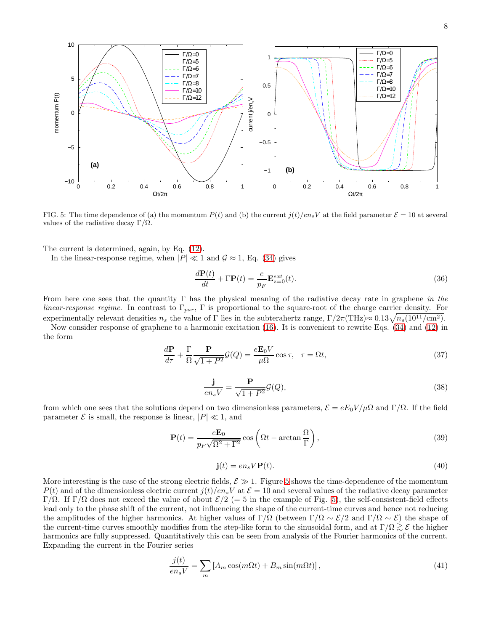

<span id="page-7-0"></span>FIG. 5: The time dependence of (a) the momentum  $P(t)$  and (b) the current  $j(t)/en_sV$  at the field parameter  $\mathcal{E} = 10$  at several values of the radiative decay  $\Gamma/\Omega$ .

The current is determined, again, by Eq. [\(12\)](#page-3-0).

In the linear-response regime, when  $|P| \ll 1$  and  $\mathcal{G} \approx 1$ , Eq. [\(34\)](#page-6-5) gives

$$
\frac{d\mathbf{P}(t)}{dt} + \Gamma \mathbf{P}(t) = \frac{e}{p_F} \mathbf{E}_{z=0}^{ext}(t).
$$
\n(36)

From here one sees that the quantity  $\Gamma$  has the physical meaning of the radiative decay rate in graphene in the *linear-response regime.* In contrast to  $\Gamma_{par}$ ,  $\Gamma$  is proportional to the square-root of the charge carrier density. For experimentally relevant densities  $n_s$  the value of Γ lies in the subterahertz range,  $\Gamma/2\pi(\text{THz}) \approx 0.13\sqrt{n_s(10^{11}/\text{cm}^2)}$ .

Now consider response of graphene to a harmonic excitation [\(16\)](#page-3-1). It is convenient to rewrite Eqs. [\(34\)](#page-6-5) and [\(12\)](#page-3-0) in the form

$$
\frac{d\mathbf{P}}{d\tau} + \frac{\Gamma}{\Omega} \frac{\mathbf{P}}{\sqrt{1+P^2}} \mathcal{G}(Q) = \frac{e\mathbf{E}_0 V}{\mu \Omega} \cos \tau, \quad \tau = \Omega t,
$$
\n(37)

$$
\frac{\mathbf{j}}{en_s V} = \frac{\mathbf{P}}{\sqrt{1 + P^2}} \mathcal{G}(Q),\tag{38}
$$

from which one sees that the solutions depend on two dimensionless parameters,  $\mathcal{E} = eE_0V/\mu\Omega$  and  $\Gamma/\Omega$ . If the field parameter  $\mathcal E$  is small, the response is linear,  $|P| \ll 1$ , and

$$
\mathbf{P}(t) = \frac{e\mathbf{E}_0}{p_F\sqrt{\Omega^2 + \Gamma^2}} \cos\left(\Omega t - \arctan\frac{\Omega}{\Gamma}\right),\tag{39}
$$

$$
\mathbf{j}(t) = en_s V \mathbf{P}(t). \tag{40}
$$

More interesting is the case of the strong electric fields,  $\mathcal{E} \gg 1$ . Figure [5](#page-7-0) shows the time-dependence of the momentum  $P(t)$  and of the dimensionless electric current  $j(t)/en_sV$  at  $\mathcal{E} = 10$  and several values of the radiative decay parameter Γ/Ω. If Γ/Ω does not exceed the value of about  $\mathcal{E}/2$  (= 5 in the example of Fig. [5\)](#page-7-0), the self-consistent-field effects lead only to the phase shift of the current, not influencing the shape of the current-time curves and hence not reducing the amplitudes of the higher harmonics. At higher values of  $\Gamma/\Omega$  (between  $\Gamma/\Omega \sim \mathcal{E}/2$  and  $\Gamma/\Omega \sim \mathcal{E}$ ) the shape of the current-time curves smoothly modifies from the step-like form to the sinusoidal form, and at  $\Gamma/\Omega \gtrsim \mathcal{E}$  the higher harmonics are fully suppressed. Quantitatively this can be seen from analysis of the Fourier harmonics of the current. Expanding the current in the Fourier series

$$
\frac{j(t)}{en_s V} = \sum_m \left[ A_m \cos(m\Omega t) + B_m \sin(m\Omega t) \right],\tag{41}
$$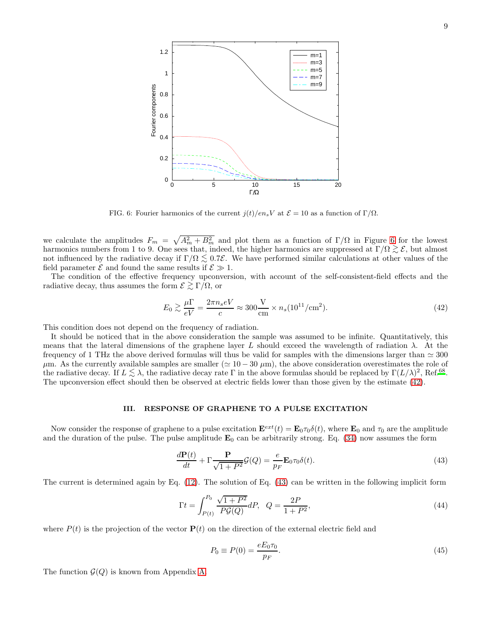

<span id="page-8-1"></span>FIG. 6: Fourier harmonics of the current  $j(t)/en_sV$  at  $\mathcal{E} = 10$  as a function of  $\Gamma/\Omega$ .

we calculate the amplitudes  $F_m = \sqrt{A_m^2 + B_m^2}$  and plot them as a function of  $\Gamma/\Omega$  in Figure [6](#page-8-1) for the lowest harmonics numbers from 1 to 9. One sees that, indeed, the higher harmonics are suppressed at  $\Gamma/\Omega \gtrsim \mathcal{E}$ , but almost not influenced by the radiative decay if  $\Gamma/\Omega \lesssim 0.7\mathcal{E}$ . We have performed similar calculations at other values of the field parameter  $\mathcal E$  and found the same results if  $\mathcal E \gg 1$ .

The condition of the effective frequency upconversion, with account of the self-consistent-field effects and the radiative decay, thus assumes the form  $\mathcal{E} \gtrsim \Gamma/\Omega$ , or

<span id="page-8-2"></span>
$$
E_0 \gtrsim \frac{\mu \Gamma}{eV} = \frac{2\pi n_s eV}{c} \approx 300 \frac{\text{V}}{\text{cm}} \times n_s (10^{11}/\text{cm}^2). \tag{42}
$$

This condition does not depend on the frequency of radiation.

It should be noticed that in the above consideration the sample was assumed to be infinite. Quantitatively, this means that the lateral dimensions of the graphene layer L should exceed the wavelength of radiation  $\lambda$ . At the frequency of 1 THz the above derived formulas will thus be valid for samples with the dimensions larger than  $\simeq 300$  $\mu$ m. As the currently available samples are smaller ( $\simeq 10-30 \ \mu$ m), the above consideration overestimates the role of the radiative decay. If  $L \lesssim \lambda$ , the radiative decay rate Γ in the above formulas should be replaced by  $\Gamma(L/\lambda)^2$ , Ref.<sup>[68](#page-12-14)</sup>.<br>The unconvenient affect abould then be absented at electric fields large than these given by t The upconversion effect should then be observed at electric fields lower than those given by the estimate [\(42\)](#page-8-2).

#### <span id="page-8-0"></span>III. RESPONSE OF GRAPHENE TO A PULSE EXCITATION

Now consider the response of graphene to a pulse excitation  $\mathbf{E}^{ext}(t) = \mathbf{E}_0 \tau_0 \delta(t)$ , where  $\mathbf{E}_0$  and  $\tau_0$  are the amplitude and the duration of the pulse. The pulse amplitude  $\mathbf{E}_0$  can be arbitrarily strong. Eq. [\(34\)](#page-6-5) now assumes the form

<span id="page-8-3"></span>
$$
\frac{d\mathbf{P}(t)}{dt} + \Gamma \frac{\mathbf{P}}{\sqrt{1+P^2}} \mathcal{G}(Q) = \frac{e}{p_F} \mathbf{E}_0 \tau_0 \delta(t).
$$
\n(43)

The current is determined again by Eq. [\(12\)](#page-3-0). The solution of Eq. [\(43\)](#page-8-3) can be written in the following implicit form

<span id="page-8-4"></span>
$$
\Gamma t = \int_{P(t)}^{P_0} \frac{\sqrt{1+P^2}}{P\mathcal{G}(Q)} dP, \quad Q = \frac{2P}{1+P^2},\tag{44}
$$

where  $P(t)$  is the projection of the vector  $P(t)$  on the direction of the external electric field and

$$
P_0 \equiv P(0) = \frac{eE_0 \tau_0}{p_F}.\tag{45}
$$

The function  $\mathcal{G}(Q)$  is known from Appendix [A.](#page-10-16)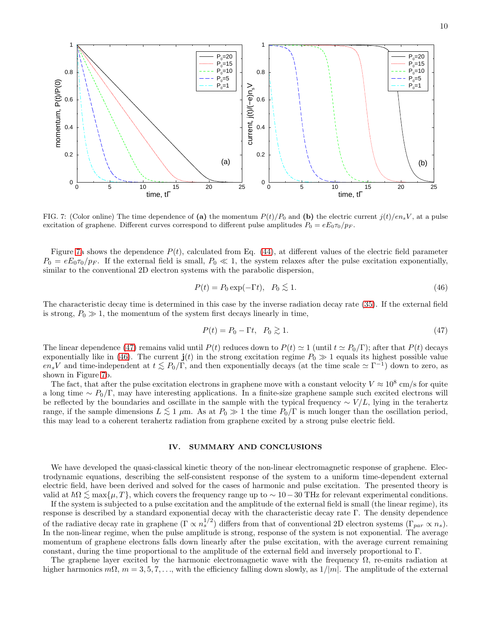

<span id="page-9-1"></span>FIG. 7: (Color online) The time dependence of (a) the momentum  $P(t)/P_0$  and (b) the electric current  $j(t)/en_sV$ , at a pulse excitation of graphene. Different curves correspond to different pulse amplitudes  $P_0 = eE_0\tau_0/p_F$ .

Figure [7a](#page-9-1) shows the dependence  $P(t)$ , calculated from Eq. [\(44\)](#page-8-4), at different values of the electric field parameter  $P_0 = eE_0\tau_0/p_F$ . If the external field is small,  $P_0 \ll 1$ , the system relaxes after the pulse excitation exponentially, similar to the conventional 2D electron systems with the parabolic dispersion,

<span id="page-9-3"></span>
$$
P(t) = P_0 \exp(-\Gamma t), \quad P_0 \lesssim 1. \tag{46}
$$

The characteristic decay time is determined in this case by the inverse radiation decay rate [\(35\)](#page-6-6). If the external field is strong,  $P_0 \gg 1$ , the momentum of the system first decays linearly in time,

<span id="page-9-2"></span>
$$
P(t) = P_0 - \Gamma t, \quad P_0 \gtrsim 1. \tag{47}
$$

The linear dependence [\(47\)](#page-9-2) remains valid until  $P(t)$  reduces down to  $P(t) \approx 1$  (until  $t \approx P_0/\Gamma$ ); after that  $P(t)$  decays exponentially like in [\(46\)](#page-9-3). The current  $\mathbf{j}(t)$  in the strong excitation regime  $P_0 \gg 1$  equals its highest possible value  $en_sV$  and time-independent at  $t \lesssim P_0/\overline{\Gamma}$ , and then exponentially decays (at the time scale  $\simeq \Gamma^{-1}$ ) down to zero, as shown in Figure [7b](#page-9-1).

The fact, that after the pulse excitation electrons in graphene move with a constant velocity  $V \approx 10^8$  cm/s for quite a long time ∼  $P_0/\Gamma$ , may have interesting applications. In a finite-size graphene sample such excited electrons will be reflected by the boundaries and oscillate in the sample with the typical frequency  $\sim V/L$ , lying in the terahertz range, if the sample dimensions  $L \lesssim 1 \mu m$ . As at  $P_0 \gg 1$  the time  $P_0/\Gamma$  is much longer than the oscillation period, this may lead to a coherent terahertz radiation from graphene excited by a strong pulse electric field.

## <span id="page-9-0"></span>IV. SUMMARY AND CONCLUSIONS

We have developed the quasi-classical kinetic theory of the non-linear electromagnetic response of graphene. Electrodynamic equations, describing the self-consistent response of the system to a uniform time-dependent external electric field, have been derived and solved for the cases of harmonic and pulse excitation. The presented theory is valid at  $\hbar\Omega \lesssim \max\{\mu, T\}$ , which covers the frequency range up to  $\sim 10-30$  THz for relevant experimental conditions.

If the system is subjected to a pulse excitation and the amplitude of the external field is small (the linear regime), its response is described by a standard exponential decay with the characteristic decay rate Γ. The density dependence of the radiative decay rate in graphene  $(\Gamma \propto n_s^{1/2})$  differs from that of conventional 2D electron systems  $(\Gamma_{par} \propto n_s)$ . In the non-linear regime, when the pulse amplitude is strong, response of the system is not exponential. The average momentum of graphene electrons falls down linearly after the pulse excitation, with the average current remaining constant, during the time proportional to the amplitude of the external field and inversely proportional to Γ.

The graphene layer excited by the harmonic electromagnetic wave with the frequency  $\Omega$ , re-emits radiation at higher harmonics  $m\Omega$ ,  $m = 3, 5, 7, \ldots$ , with the efficiency falling down slowly, as  $1/|m|$ . The amplitude of the external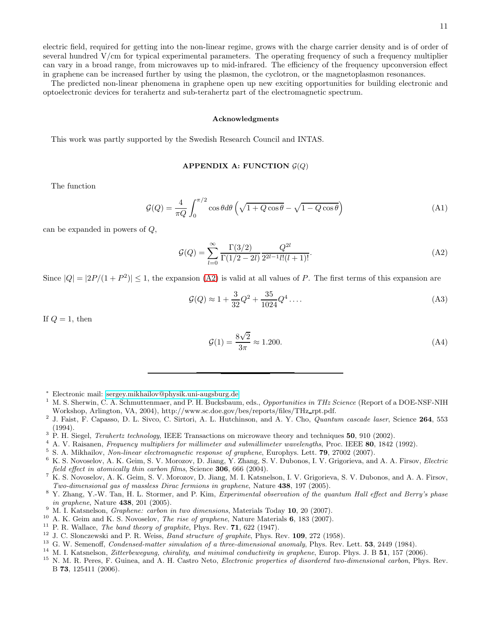electric field, required for getting into the non-linear regime, grows with the charge carrier density and is of order of several hundred V/cm for typical experimental parameters. The operating frequency of such a frequency multiplier can vary in a broad range, from microwaves up to mid-infrared. The efficiency of the frequency upconversion effect in graphene can be increased further by using the plasmon, the cyclotron, or the magnetoplasmon resonances.

The predicted non-linear phenomena in graphene open up new exciting opportunities for building electronic and optoelectronic devices for terahertz and sub-terahertz part of the electromagnetic spectrum.

#### Acknowledgments

This work was partly supported by the Swedish Research Council and INTAS.

# <span id="page-10-16"></span>APPENDIX A: FUNCTION  $\mathcal{G}(Q)$

The function

$$
\mathcal{G}(Q) = \frac{4}{\pi Q} \int_0^{\pi/2} \cos \theta d\theta \left( \sqrt{1 + Q \cos \theta} - \sqrt{1 - Q \cos \theta} \right) \tag{A1}
$$

can be expanded in powers of Q,

<span id="page-10-18"></span>
$$
\mathcal{G}(Q) = \sum_{l=0}^{\infty} \frac{\Gamma(3/2)}{\Gamma(1/2 - 2l)} \frac{Q^{2l}}{2^{2l-1}l!(l+1)!}.
$$
\n(A2)

Since  $|Q| = |2P/(1 + P^2)| \le 1$ , the expansion [\(A2\)](#page-10-18) is valid at all values of P. The first terms of this expansion are

<span id="page-10-17"></span>
$$
\mathcal{G}(Q) \approx 1 + \frac{3}{32}Q^2 + \frac{35}{1024}Q^4 \dots \tag{A3}
$$

If  $Q = 1$ , then

$$
\mathcal{G}(1) = \frac{8\sqrt{2}}{3\pi} \approx 1.200.\tag{A4}
$$

- <sup>∗</sup> Electronic mail: [sergey.mikhailov@physik.uni-augsburg.de](mailto:sergey.mikhailov@physik.uni-augsburg.de)
- <span id="page-10-1"></span><span id="page-10-0"></span><sup>1</sup> M. S. Sherwin, C. A. Schmuttenmaer, and P. H. Bucksbaum, eds., Opportunities in THz Science (Report of a DOE-NSF-NIH Workshop, Arlington, VA, 2004), http://www.sc.doe.gov/bes/reports/files/THz rpt.pdf.
- <span id="page-10-2"></span><sup>2</sup> J. Faist, F. Capasso, D. L. Sivco, C. Sirtori, A. L. Hutchinson, and A. Y. Cho, *Quantum cascade laser*, Science 264, 553 (1994).
- <span id="page-10-3"></span> $3$  P. H. Siegel, *Terahertz technology*, IEEE Transactions on microwave theory and techniques **50**, 910 (2002).
- <span id="page-10-4"></span><sup>4</sup> A. V. Raisanen, *Frequency multipliers for millimeter and submillimeter wavelengths*, Proc. IEEE 80, 1842 (1992).
- <span id="page-10-5"></span> $5$  S. A. Mikhailov, Non-linear electromagnetic response of graphene, Europhys. Lett. 79, 27002 (2007).
- <span id="page-10-6"></span><sup>6</sup> K. S. Novoselov, A. K. Geim, S. V. Morozov, D. Jiang, Y. Zhang, S. V. Dubonos, I. V. Grigorieva, and A. A. Firsov, Electric field effect in atomically thin carbon films, Science 306, 666 (2004).
- <span id="page-10-7"></span><sup>7</sup> K. S. Novoselov, A. K. Geim, S. V. Morozov, D. Jiang, M. I. Katsnelson, I. V. Grigorieva, S. V. Dubonos, and A. A. Firsov, Two-dimensional gas of massless Dirac fermions in graphene, Nature 438, 197 (2005).
- <span id="page-10-8"></span><sup>8</sup> Y. Zhang, Y.-W. Tan, H. L. Stormer, and P. Kim, Experimental observation of the quantum Hall effect and Berry's phase in graphene, Nature 438, 201 (2005).
- <span id="page-10-9"></span> $9$  M. I. Katsnelson, *Graphene: carbon in two dimensions*, Materials Today 10, 20 (2007).
- <span id="page-10-10"></span><sup>10</sup> A. K. Geim and K. S. Novoselov, *The rise of graphene*, Nature Materials  $6$ , 183 (2007).
- <span id="page-10-11"></span> $11$  P. R. Wallace, *The band theory of graphite*, Phys. Rev. **71**, 622 (1947).
- <span id="page-10-12"></span> $12$  J. C. Slonczewski and P. R. Weiss, *Band structure of graphite*, Phys. Rev. **109**, 272 (1958).
- <span id="page-10-13"></span> $13$  G. W. Semenoff, Condensed-matter simulation of a three-dimensional anomaly, Phys. Rev. Lett.  $53$ , 2449 (1984).
- <span id="page-10-14"></span> $14$  M. I. Katsnelson, *Zitterbewegung, chirality, and minimal conductivity in graphene*, Europ. Phys. J. B  $51$ , 157 (2006).
- <span id="page-10-15"></span><sup>15</sup> N. M. R. Peres, F. Guinea, and A. H. Castro Neto, *Electronic properties of disordered two-dimensional carbon*, Phys. Rev. B 73, 125411 (2006).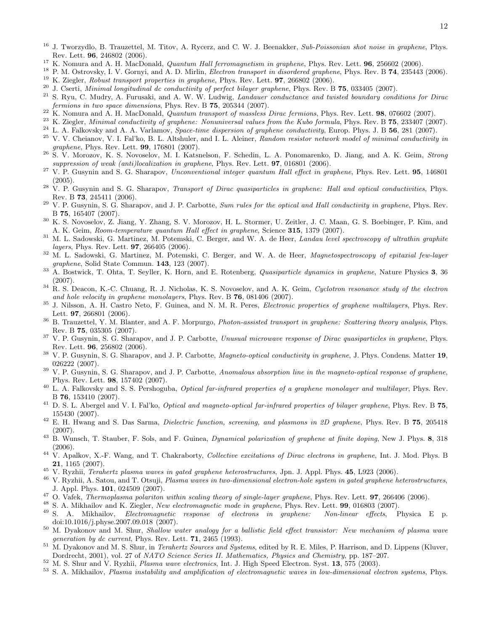- <span id="page-11-0"></span> $16$  J. Tworzydlo, B. Trauzettel, M. Titov, A. Rycerz, and C. W. J. Beenakker, Sub-Poissonian shot noise in graphene, Phys. Rev. Lett. 96, 246802 (2006).
- <span id="page-11-1"></span><sup>17</sup> K. Nomura and A. H. MacDonald, *Quantum Hall ferromagnetism in graphene*, Phys. Rev. Lett. **96**, 256602 (2006).
- <span id="page-11-2"></span><sup>18</sup> P. M. Ostrovsky, I. V. Gornyi, and A. D. Mirlin, *Electron transport in disordered graphene*, Phys. Rev. B **74**, 235443 (2006). <sup>19</sup> K. Ziegler, Robust transport properties in graphene, Phys. Rev. Lett. 97, 266802 (2006).
- <span id="page-11-4"></span><span id="page-11-3"></span><sup>20</sup> J. Cserti, *Minimal longitudinal dc conductivity of perfect bilayer graphene*, Phys. Rev. B 75, 033405 (2007).
- <span id="page-11-5"></span><sup>21</sup> S. Ryu, C. Mudry, A. Furusaki, and A. W. W. Ludwig, *Landauer conductance and twisted boundary conditions for Dirac* fermions in two space dimensions, Phys. Rev. B 75, 205344 (2007).
- <span id="page-11-6"></span><sup>22</sup> K. Nomura and A. H. MacDonald, *Quantum transport of massless Dirac fermions*, Phys. Rev. Lett. **98**, 076602 (2007).
- <span id="page-11-7"></span> $^{23}$  K. Ziegler, Minimal conductivity of graphene: Nonuniversal values from the Kubo formula, Phys. Rev. B  $75$ ,  $233407$  (2007).
- <span id="page-11-8"></span> $^{24}$  L. A. Falkovsky and A. A. Varlamov, Space-time dispersion of graphene conductivity, Europ. Phys. J. B 56, 281 (2007).
- <span id="page-11-9"></span> $25$  V. V. Cheianov, V. I. Fal'ko, B. L. Altshuler, and I. L. Aleiner, Random resistor network model of minimal conductivity in graphene, Phys. Rev. Lett. 99, 176801 (2007).
- <span id="page-11-10"></span><sup>26</sup> S. V. Morozov, K. S. Novoselov, M. I. Katsnelson, F. Schedin, L. A. Ponomarenko, D. Jiang, and A. K. Geim, Strong suppression of weak (anti)localization in graphene, Phys. Rev. Lett. **97**, 016801 (2006).
- <span id="page-11-11"></span> $27$  V. P. Gusynin and S. G. Sharapov, Unconventional integer quantum Hall effect in graphene, Phys. Rev. Lett. 95, 146801 (2005).
- <span id="page-11-12"></span> $28$  V. P. Gusynin and S. G. Sharapov, *Transport of Dirac quasiparticles in graphene: Hall and optical conductivities*, Phys. Rev. B 73, 245411 (2006).
- <span id="page-11-13"></span><sup>29</sup> V. P. Gusynin, S. G. Sharapov, and J. P. Carbotte, Sum rules for the optical and Hall conductivity in graphene, Phys. Rev. B 75, 165407 (2007).
- <span id="page-11-14"></span><sup>30</sup> K. S. Novoselov, Z. Jiang, Y. Zhang, S. V. Morozov, H. L. Stormer, U. Zeitler, J. C. Maan, G. S. Boebinger, P. Kim, and A. K. Geim, Room-temperature quantum Hall effect in graphene, Science 315, 1379 (2007).
- <span id="page-11-15"></span> $31$  M. L. Sadowski, G. Martinez, M. Potemski, C. Berger, and W. A. de Heer, *Landau level spectroscopy of ultrathin graphite* layers, Phys. Rev. Lett. 97, 266405 (2006).
- <span id="page-11-16"></span> $32$  M. L. Sadowski, G. Martinez, M. Potemski, C. Berger, and W. A. de Heer, *Magnetospectroscopy of epitaxial few-layer* graphene, Solid State Commun. 143, 123 (2007).
- <span id="page-11-17"></span> $33$  A. Bostwick, T. Ohta, T. Seyller, K. Horn, and E. Rotenberg, *Quasiparticle dynamics in graphene*, Nature Physics 3, 36 (2007).
- <span id="page-11-18"></span> $34$  R. S. Deacon, K.-C. Chuang, R. J. Nicholas, K. S. Novoselov, and A. K. Geim, Cyclotron resonance study of the electron and hole velocity in graphene monolayers, Phys. Rev. B 76, 081406 (2007).
- <span id="page-11-19"></span> $35$  J. Nilsson, A. H. Castro Neto, F. Guinea, and N. M. R. Peres, *Electronic properties of graphene multilayers*, Phys. Rev. Lett. **97.** 266801 (2006).
- <span id="page-11-20"></span><sup>36</sup> B. Trauzettel, Y. M. Blanter, and A. F. Morpurgo, *Photon-assisted transport in graphene: Scattering theory analysis*, Phys. Rev. B 75, 035305 (2007).
- <span id="page-11-21"></span><sup>37</sup> V. P. Gusynin, S. G. Sharapov, and J. P. Carbotte, *Unusual microwave response of Dirac quasiparticles in graphene*. Phys. Rev. Lett. 96, 256802 (2006).
- <span id="page-11-22"></span> $38\,$  V. P. Gusynin, S. G. Sharapov, and J. P. Carbotte, *Magneto-optical conductivity in graphene*, J. Phys. Condens. Matter 19, 026222 (2007).
- <span id="page-11-23"></span><sup>39</sup> V. P. Gusynin, S. G. Sharapov, and J. P. Carbotte, Anomalous absorption line in the magneto-optical response of graphene, Phys. Rev. Lett. 98, 157402 (2007).
- <span id="page-11-24"></span> $^{40}$  L. A. Falkovsky and S. S. Pershoguba, *Optical far-infrared properties of a graphene monolayer and multilayer*, Phys. Rev. B 76, 153410 (2007).
- <span id="page-11-25"></span> $^{41}$  D. S. L. Abergel and V. I. Fal'ko, *Optical and magneto-optical far-infrared properties of bilayer graphene*, Phys. Rev. B  $75$ , 155430 (2007).
- <span id="page-11-26"></span> $^{42}$  E. H. Hwang and S. Das Sarma, *Dielectric function, screening, and plasmons in 2D graphene*, Phys. Rev. B  $75$ , 205418 (2007).
- <span id="page-11-27"></span> $^{43}$  B. Wunsch, T. Stauber, F. Sols, and F. Guinea, *Dynamical polarization of graphene at finite doping*, New J. Phys. 8, 318 (2006).
- <span id="page-11-28"></span><sup>44</sup> V. Apalkov, X.-F. Wang, and T. Chakraborty, *Collective excitations of Dirac electrons in graphene*, Int. J. Mod. Phys. B 21, 1165 (2007).
- <span id="page-11-29"></span><sup>45</sup> V. Ryzhii, *Terahertz plasma waves in gated graphene heterostructures*, Jpn. J. Appl. Phys. **45**, L923 (2006).
- <span id="page-11-30"></span> $^{46}$  V. Ryzhii, A. Satou, and T. Otsuji, Plasma waves in two-dimensional electron-hole system in gated graphene heterostructures, J. Appl. Phys. 101, 024509 (2007).
- <span id="page-11-31"></span> $^{47}$  O. Vafek, *Thermoplasma polariton within scaling theory of single-layer graphene*, Phys. Rev. Lett. **97**, 266406 (2006).
- <span id="page-11-32"></span><sup>48</sup> S. A. Mikhailov and K. Ziegler, New electromagnetic mode in graphene, Phys. Rev. Lett. **99**, 016803 (2007).
- <span id="page-11-33"></span><sup>49</sup> S. A. Mikhailov, Electromagnetic response of electrons in graphene: Non-linear effects, Physica E p. doi:10.1016/j.physe.2007.09.018 (2007).
- <span id="page-11-34"></span> $50$  M. Dyakonov and M. Shur, Shallow water analogy for a ballistic field effect transistor: New mechanism of plasma wave generation by dc current, Phys. Rev. Lett. 71, 2465 (1993).
- <span id="page-11-35"></span><sup>51</sup> M. Dyakonov and M. S. Shur, in *Terahertz Sources and Systems*, edited by R. E. Miles, P. Harrison, and D. Lippens (Kluver, Dordrecht, 2001), vol. 27 of NATO Science Series II. Mathematics, Physics and Chemistry, pp. 187–207.
- <span id="page-11-36"></span><sup>52</sup> M. S. Shur and V. Ryzhii, Plasma wave electronics, Int. J. High Speed Electron. Syst. 13, 575 (2003).
- <span id="page-11-37"></span>53 S. A. Mikhailov, Plasma instability and amplification of electromagnetic waves in low-dimensional electron systems, Phys.